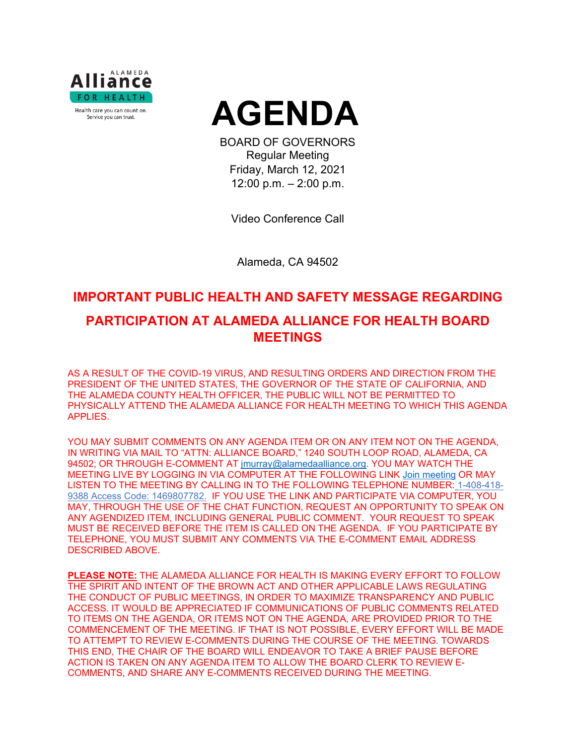



BOARD OF GOVERNORS Regular Meeting Friday, March 12, 2021 12:00 p.m. – 2:00 p.m.

Video Conference Call

Alameda, CA 94502

# **IMPORTANT PUBLIC HEALTH AND SAFETY MESSAGE REGARDING PARTICIPATION AT ALAMEDA ALLIANCE FOR HEALTH BOARD MEETINGS**

AS A RESULT OF THE COVID-19 VIRUS, AND RESULTING ORDERS AND DIRECTION FROM THE PRESIDENT OF THE UNITED STATES, THE GOVERNOR OF THE STATE OF CALIFORNIA, AND THE ALAMEDA COUNTY HEALTH OFFICER, THE PUBLIC WILL NOT BE PERMITTED TO PHYSICALLY ATTEND THE ALAMEDA ALLIANCE FOR HEALTH MEETING TO WHICH THIS AGENDA APPLIES.

YOU MAY SUBMIT COMMENTS ON ANY AGENDA ITEM OR ON ANY ITEM NOT ON THE AGENDA, IN WRITING VIA MAIL TO "ATTN: ALLIANCE BOARD," 1240 SOUTH LOOP ROAD, ALAMEDA, CA 94502; OR THROUGH E-COMMENT AT [jmurray@alamedaalliance.org.](mailto:jmurray@alamedaalliance.org) YOU MAY WATCH THE MEETING LIVE BY LOGGING IN VIA COMPUTER AT THE FOLLOWING LINK [Join meeting](https://alamedaalliance.webex.com/alamedaalliance/j.php?MTID=m4fefbe72831c76b47303fd84ed522225) OR MAY LISTEN TO THE MEETING BY CALLING IN TO THE FOLLOWING TELEPHONE NUMBER: 1-408-418- 9388 Access Code: 1469807782. IF YOU USE THE LINK AND PARTICIPATE VIA COMPUTER, YOU MAY, THROUGH THE USE OF THE CHAT FUNCTION, REQUEST AN OPPORTUNITY TO SPEAK ON ANY AGENDIZED ITEM, INCLUDING GENERAL PUBLIC COMMENT. YOUR REQUEST TO SPEAK MUST BE RECEIVED BEFORE THE ITEM IS CALLED ON THE AGENDA. IF YOU PARTICIPATE BY TELEPHONE, YOU MUST SUBMIT ANY COMMENTS VIA THE E-COMMENT EMAIL ADDRESS DESCRIBED ABOVE.

**PLEASE NOTE:** THE ALAMEDA ALLIANCE FOR HEALTH IS MAKING EVERY EFFORT TO FOLLOW THE SPIRIT AND INTENT OF THE BROWN ACT AND OTHER APPLICABLE LAWS REGULATING THE CONDUCT OF PUBLIC MEETINGS, IN ORDER TO MAXIMIZE TRANSPARENCY AND PUBLIC ACCESS. IT WOULD BE APPRECIATED IF COMMUNICATIONS OF PUBLIC COMMENTS RELATED TO ITEMS ON THE AGENDA, OR ITEMS NOT ON THE AGENDA, ARE PROVIDED PRIOR TO THE COMMENCEMENT OF THE MEETING. IF THAT IS NOT POSSIBLE, EVERY EFFORT WILL BE MADE TO ATTEMPT TO REVIEW E-COMMENTS DURING THE COURSE OF THE MEETING. TOWARDS THIS END, THE CHAIR OF THE BOARD WILL ENDEAVOR TO TAKE A BRIEF PAUSE BEFORE ACTION IS TAKEN ON ANY AGENDA ITEM TO ALLOW THE BOARD CLERK TO REVIEW E-COMMENTS, AND SHARE ANY E-COMMENTS RECEIVED DURING THE MEETING.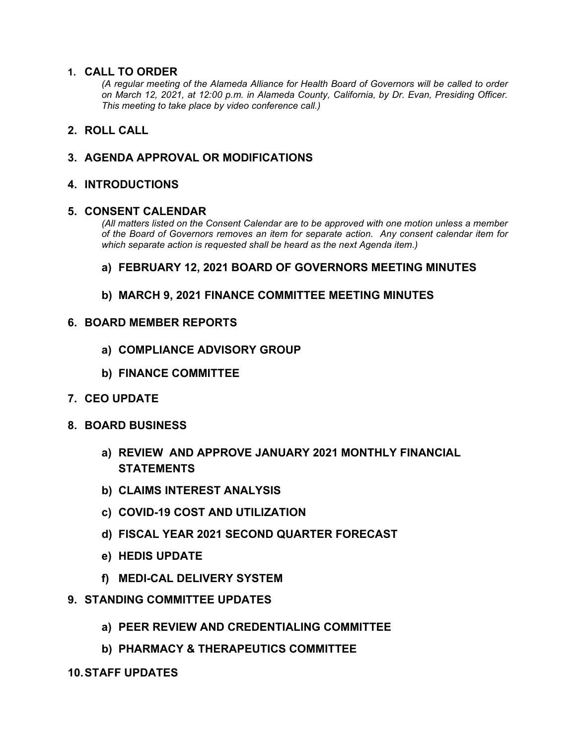# **1. CALL TO ORDER**

*(A regular meeting of the Alameda Alliance for Health Board of Governors will be called to order on March 12, 2021, at 12:00 p.m. in Alameda County, California, by Dr. Evan, Presiding Officer. This meeting to take place by video conference call.)*

# **2. ROLL CALL**

# **3. AGENDA APPROVAL OR MODIFICATIONS**

#### **4. INTRODUCTIONS**

#### **5. CONSENT CALENDAR**

*(All matters listed on the Consent Calendar are to be approved with one motion unless a member of the Board of Governors removes an item for separate action. Any consent calendar item for which separate action is requested shall be heard as the next Agenda item.)*

#### **a) FEBRUARY 12, 2021 BOARD OF GOVERNORS MEETING MINUTES**

**b) MARCH 9, 2021 FINANCE COMMITTEE MEETING MINUTES**

#### **6. BOARD MEMBER REPORTS**

- **a) COMPLIANCE ADVISORY GROUP**
- **b) FINANCE COMMITTEE**
- **7. CEO UPDATE**
- **8. BOARD BUSINESS**
	- **a) REVIEW AND APPROVE JANUARY 2021 MONTHLY FINANCIAL STATEMENTS**
	- **b) CLAIMS INTEREST ANALYSIS**
	- **c) COVID-19 COST AND UTILIZATION**
	- **d) FISCAL YEAR 2021 SECOND QUARTER FORECAST**
	- **e) HEDIS UPDATE**
	- **f) MEDI-CAL DELIVERY SYSTEM**
- **9. STANDING COMMITTEE UPDATES**
	- **a) PEER REVIEW AND CREDENTIALING COMMITTEE**
	- **b) PHARMACY & THERAPEUTICS COMMITTEE**

#### **10.STAFF UPDATES**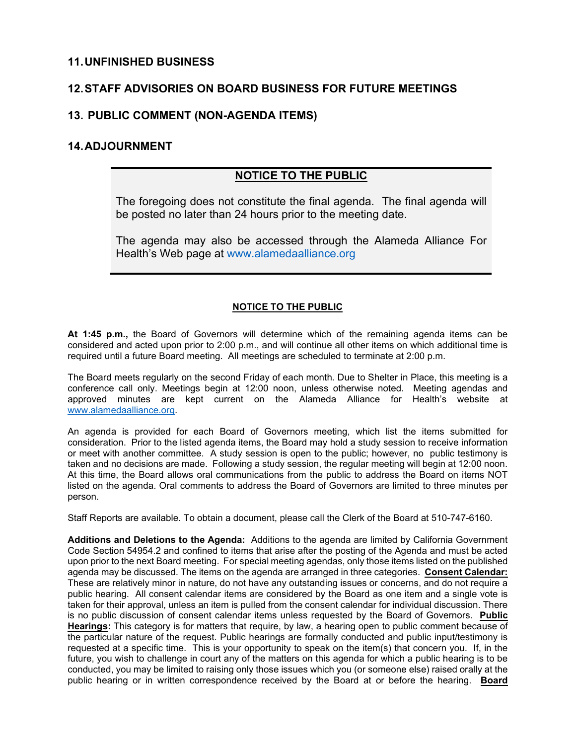#### **11.UNFINISHED BUSINESS**

# **12.STAFF ADVISORIES ON BOARD BUSINESS FOR FUTURE MEETINGS**

# **13. PUBLIC COMMENT (NON-AGENDA ITEMS)**

## **14.ADJOURNMENT**

# **NOTICE TO THE PUBLIC**

The foregoing does not constitute the final agenda. The final agenda will be posted no later than 24 hours prior to the meeting date.

The agenda may also be accessed through the Alameda Alliance For Health's Web page at [www.alamedaalliance.org](http://www.alamedaalliance.org/)

#### **NOTICE TO THE PUBLIC**

**At 1:45 p.m.,** the Board of Governors will determine which of the remaining agenda items can be considered and acted upon prior to 2:00 p.m., and will continue all other items on which additional time is required until a future Board meeting. All meetings are scheduled to terminate at 2:00 p.m.

The Board meets regularly on the second Friday of each month. Due to Shelter in Place, this meeting is a conference call only. Meetings begin at 12:00 noon, unless otherwise noted. Meeting agendas and approved minutes are kept current on the Alameda Alliance for Health's website at [www.alamedaalliance.org.](http://www.alamedaalliance.org/)

An agenda is provided for each Board of Governors meeting, which list the items submitted for consideration. Prior to the listed agenda items, the Board may hold a study session to receive information or meet with another committee. A study session is open to the public; however, no public testimony is taken and no decisions are made. Following a study session, the regular meeting will begin at 12:00 noon. At this time, the Board allows oral communications from the public to address the Board on items NOT listed on the agenda. Oral comments to address the Board of Governors are limited to three minutes per person.

Staff Reports are available. To obtain a document, please call the Clerk of the Board at 510-747-6160.

**Additions and Deletions to the Agenda:** Additions to the agenda are limited by California Government Code Section 54954.2 and confined to items that arise after the posting of the Agenda and must be acted upon prior to the next Board meeting. For special meeting agendas, only those items listed on the published agenda may be discussed. The items on the agenda are arranged in three categories. **Consent Calendar:** These are relatively minor in nature, do not have any outstanding issues or concerns, and do not require a public hearing. All consent calendar items are considered by the Board as one item and a single vote is taken for their approval, unless an item is pulled from the consent calendar for individual discussion. There is no public discussion of consent calendar items unless requested by the Board of Governors. **Public Hearings:** This category is for matters that require, by law, a hearing open to public comment because of the particular nature of the request. Public hearings are formally conducted and public input/testimony is requested at a specific time. This is your opportunity to speak on the item(s) that concern you. If, in the future, you wish to challenge in court any of the matters on this agenda for which a public hearing is to be conducted, you may be limited to raising only those issues which you (or someone else) raised orally at the public hearing or in written correspondence received by the Board at or before the hearing. **Board**